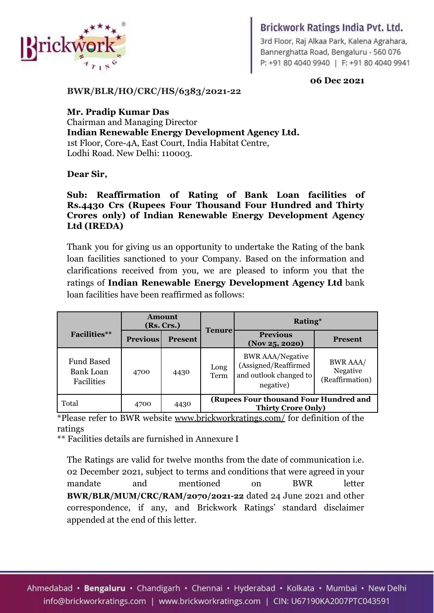

## Brickwork Ratings India Pvt. Ltd.

3rd Floor, Raj Alkaa Park, Kalena Agrahara, Bannerghatta Road, Bengaluru - 560 076 P: +91 80 4040 9940 | F: +91 80 4040 9941

**06 Dec 2021**

1

**BWR/BLR/HO/CRC/HS/6383/2021-22**

**Mr. Pradip Kumar Das** Chairman and Managing Director **Indian Renewable Energy Development Agency Ltd.** 1st Floor, Core-4A, East Court, India Habitat Centre, Lodhi Road. New Delhi: 110003.

### **Dear Sir,**

### **Sub: Reaffirmation of Rating of Bank Loan facilities of Rs.4430 Crs (Rupees Four Thousand Four Hundred and Thirty Crores only) of Indian Renewable Energy Development Agency Ltd (IREDA)**

Thank you for giving us an opportunity to undertake the Rating of the bank loan facilities sanctioned to your Company. Based on the information and clarifications received from you, we are pleased to inform you that the ratings of **Indian Renewable Energy Development Agency Ltd** bank loan facilities have been reaffirmed as follows:

|                                                     | <b>Amount</b><br>(Rs. Crs.) |                | <b>Tenure</b>                                                       | Rating*                                                                                |                                                |  |
|-----------------------------------------------------|-----------------------------|----------------|---------------------------------------------------------------------|----------------------------------------------------------------------------------------|------------------------------------------------|--|
| <b>Facilities</b> **                                | <b>Previous</b>             | <b>Present</b> |                                                                     | <b>Previous</b><br>(Nov 25, 2020)                                                      | <b>Present</b>                                 |  |
| <b>Fund Based</b><br><b>Bank Loan</b><br>Facilities | 4700                        | 4430           | Long<br>Term                                                        | <b>BWR AAA/Negative</b><br>(Assigned/Reaffirmed<br>and outlook changed to<br>negative) | <b>BWR AAA/</b><br>Negative<br>(Reaffirmation) |  |
| Total                                               | 4700                        | 4430           | (Rupees Four thousand Four Hundred and<br><b>Thirty Crore Only)</b> |                                                                                        |                                                |  |

\*Please refer to BWR website [www.brickworkratings.com/](http://www.brickworkratings.com/) for definition of the ratings

\*\* Facilities details are furnished in Annexure I

The Ratings are valid for twelve months from the date of communication i.e. 02 December 2021, subject to terms and conditions that were agreed in your mandate and mentioned on BWR letter **BWR/BLR/MUM/CRC/RAM/2070/2021-22** dated 24 June 2021 and other correspondence, if any, and Brickwork Ratings' standard disclaimer appended at the end of this letter.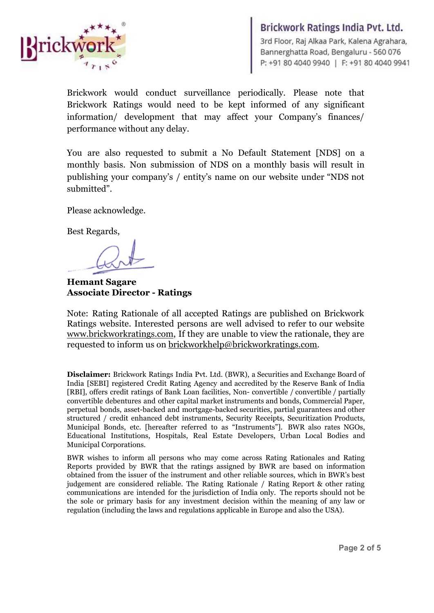

**Brickwork Ratings India Pvt. Ltd.**<br>3rd Floor, Raj Alkaa Park, Kalena Agrahara,<br>Bannerghatta Road, Bengaluru - 560 076<br>P: +91 80 4040 9940 | F: +91 80 4040 9941

Brickwork would conduct surveillance periodically. Please note that Brickwork Ratings would need to be kept informed of any significant information/ development that may affect your Company's finances/ performance without any delay.

You are also requested to submit a No Default Statement [NDS] on a monthly basis. Non submission of NDS on a monthly basis will result in publishing your company's / entity's name on our website under "NDS not submitted".

Please acknowledge.

Best Regards,

**Hemant Sagare Associate Director - Ratings**

Note: Rating Rationale of all accepted Ratings are published on Brickwork Ratings website. Interested persons are well advised to refer to our website [www.brickworkratings.com](http://www.brickworkratings.com), If they are unable to view the rationale, they are requested to inform us on [brickworkhelp@brickworkratings.com.](mailto:brickworkhelp@brickworkratings.com)

**Disclaimer:** Brickwork Ratings India Pvt. Ltd. (BWR), a Securities and Exchange Board of India [SEBI] registered Credit Rating Agency and accredited by the Reserve Bank of India [RBI], offers credit ratings of Bank Loan facilities, Non- convertible / convertible / partially convertible debentures and other capital market instruments and bonds, Commercial Paper, perpetual bonds, asset-backed and mortgage-backed securities, partial guarantees and other structured / credit enhanced debt instruments, Security Receipts, Securitization Products, Municipal Bonds, etc. [hereafter referred to as "Instruments"]. BWR also rates NGOs, Educational Institutions, Hospitals, Real Estate Developers, Urban Local Bodies and Municipal Corporations.

BWR wishes to inform all persons who may come across Rating Rationales and Rating Reports provided by BWR that the ratings assigned by BWR are based on information obtained from the issuer of the instrument and other reliable sources, which in BWR's best judgement are considered reliable. The Rating Rationale / Rating Report & other rating communications are intended for the jurisdiction of India only. The reports should not be the sole or primary basis for any investment decision within the meaning of any law or regulation (including the laws and regulations applicable in Europe and also the USA).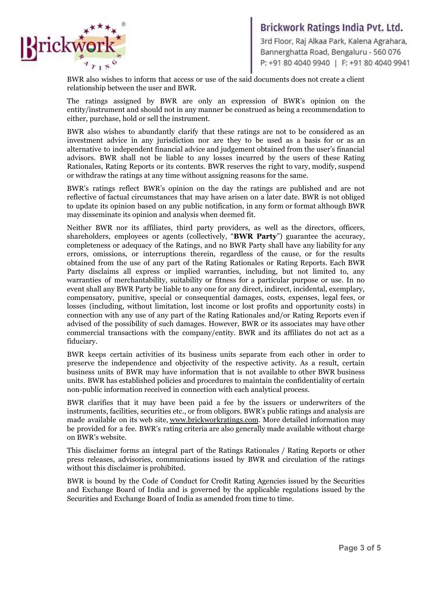

**Brickwork Ratings India Pvt. Ltd.**<br>3rd Floor, Raj Alkaa Park, Kalena Agrahara,<br>Bannerghatta Road, Bengaluru - 560 076<br>P: +91 80 4040 9940 | F: +91 80 4040 9941

BWR also wishes to inform that access or use of the said documents does not create a client relationship between the user and BWR.

The ratings assigned by BWR are only an expression of BWR's opinion on the entity/instrument and should not in any manner be construed as being a recommendation to either, purchase, hold or sell the instrument.

BWR also wishes to abundantly clarify that these ratings are not to be considered as an investment advice in any jurisdiction nor are they to be used as a basis for or as an alternative to independent financial advice and judgement obtained from the user's financial advisors. BWR shall not be liable to any losses incurred by the users of these Rating Rationales, Rating Reports or its contents. BWR reserves the right to vary, modify, suspend or withdraw the ratings at any time without assigning reasons for the same.

BWR's ratings reflect BWR's opinion on the day the ratings are published and are not reflective of factual circumstances that may have arisen on a later date. BWR is not obliged to update its opinion based on any public notification, in any form or format although BWR may disseminate its opinion and analysis when deemed fit.

Neither BWR nor its affiliates, third party providers, as well as the directors, officers, shareholders, employees or agents (collectively, "**BWR Party**") guarantee the accuracy, completeness or adequacy of the Ratings, and no BWR Party shall have any liability for any errors, omissions, or interruptions therein, regardless of the cause, or for the results obtained from the use of any part of the Rating Rationales or Rating Reports. Each BWR Party disclaims all express or implied warranties, including, but not limited to, any warranties of merchantability, suitability or fitness for a particular purpose or use. In no event shall any BWR Party be liable to any one for any direct, indirect, incidental, exemplary, compensatory, punitive, special or consequential damages, costs, expenses, legal fees, or losses (including, without limitation, lost income or lost profits and opportunity costs) in connection with any use of any part of the Rating Rationales and/or Rating Reports even if advised of the possibility of such damages. However, BWR or its associates may have other commercial transactions with the company/entity. BWR and its affiliates do not act as a fiduciary.

BWR keeps certain activities of its business units separate from each other in order to preserve the independence and objectivity of the respective activity. As a result, certain business units of BWR may have information that is not available to other BWR business units. BWR has established policies and procedures to maintain the confidentiality of certain non-public information received in connection with each analytical process.

BWR clarifies that it may have been paid a fee by the issuers or underwriters of the instruments, facilities, securities etc., or from obligors. BWR's public ratings and analysis are made available on its web site, [www.brickworkratings.com](http://www.brickworkratings.com/). More detailed information may be provided for a fee. BWR's rating criteria are also generally made available without charge on BWR's website.

This disclaimer forms an integral part of the Ratings Rationales / Rating Reports or other press releases, advisories, communications issued by BWR and circulation of the ratings without this disclaimer is prohibited.

BWR is bound by the Code of Conduct for Credit Rating Agencies issued by the Securities and Exchange Board of India and is governed by the applicable regulations issued by the Securities and Exchange Board of India as amended from time to time.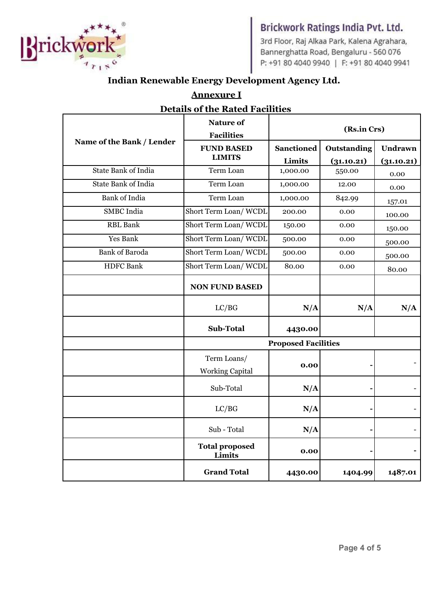

# Brickwork Ratings India Pvt. Ltd.

3rd Floor, Raj Alkaa Park, Kalena Agrahara, Bannerghatta Road, Bengaluru - 560 076 P: +91 80 4040 9940 | F: +91 80 4040 9941

# **Indian Renewable Energy Development Agency Ltd.**

| <b>Details of the Rated Facilities</b> |                                       |                   |             |            |  |  |  |  |
|----------------------------------------|---------------------------------------|-------------------|-------------|------------|--|--|--|--|
|                                        | Nature of<br><b>Facilities</b>        | (Rs.in Crs)       |             |            |  |  |  |  |
| Name of the Bank / Lender              | <b>FUND BASED</b>                     | <b>Sanctioned</b> | Outstanding | Undrawn    |  |  |  |  |
|                                        | <b>LIMITS</b>                         | Limits            | (31.10.21)  | (31.10.21) |  |  |  |  |
| State Bank of India                    | Term Loan                             | 1,000.00          | 550.00      | 0.00       |  |  |  |  |
| <b>State Bank of India</b>             | Term Loan                             | 1,000.00          | 12.00       | 0.00       |  |  |  |  |
| <b>Bank</b> of India                   | Term Loan                             | 1,000.00          | 842.99      | 157.01     |  |  |  |  |
| <b>SMBC</b> India                      | Short Term Loan/WCDL                  | 200.00            | 0.00        | 100.00     |  |  |  |  |
| <b>RBL</b> Bank                        | Short Term Loan/WCDL                  | 150.00            | 0.00        | 150.00     |  |  |  |  |
| Yes Bank                               | Short Term Loan/WCDL                  | 500.00            | 0.00        | 500.00     |  |  |  |  |
| <b>Bank of Baroda</b>                  | Short Term Loan/WCDL                  | 500.00            | 0.00        | 500.00     |  |  |  |  |
| <b>HDFC</b> Bank                       | Short Term Loan/WCDL                  | 80.00             | 0.00        | 80.00      |  |  |  |  |
|                                        | <b>NON FUND BASED</b>                 |                   |             |            |  |  |  |  |
|                                        | LC/BG                                 | N/A               | N/A         | N/A        |  |  |  |  |
|                                        | <b>Sub-Total</b>                      | 4430.00           |             |            |  |  |  |  |
|                                        | <b>Proposed Facilities</b>            |                   |             |            |  |  |  |  |
|                                        | Term Loans/<br><b>Working Capital</b> | 0.00              |             |            |  |  |  |  |
|                                        | Sub-Total                             | N/A               |             |            |  |  |  |  |
|                                        | LC/BG                                 | N/A               |             |            |  |  |  |  |
|                                        | Sub - Total                           | N/A               |             |            |  |  |  |  |
|                                        | <b>Total proposed</b><br>Limits       | 0.00              |             |            |  |  |  |  |
|                                        | <b>Grand Total</b>                    | 4430.00           | 1404.99     | 1487.01    |  |  |  |  |

**Annexure I**